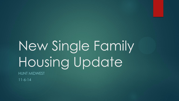# New Single Family Housing Update

HUNT MIDWEST

11-6-14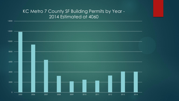### KC Metro 7 County SF Building Permits by Year - 2014 Estimated at 4060

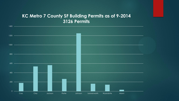#### **KC Metro 7 County SF Building Permits as of 9-2014 3126 Permits**

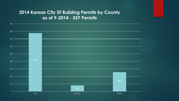#### **2014 Kansas City SF Building Permits by County as of 9-2014 - 557 Permits**

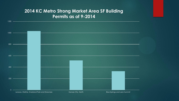#### **2014 KC Metro Strong Market Area SF Building Permits as of 9-2014**

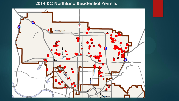#### **2014 KC Northland Residential Permits**

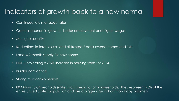## Indicators of growth back to a new normal

- Continued low mortgage rates
- General economic growth better employment and higher wages
- More job security
- Reductions in foreclosures and distressed / bank owned homes and lots
- Local 6.9 month supply for new homes
- NAHB projecting a 6.6% increase in housing starts for 2014
- Builder confidence
- Strong multi-family market
- 80 Million 18-34 year olds (millennials) begin to form households. They represent 25% of the entire United States population and are a bigger age cohort than baby boomers.